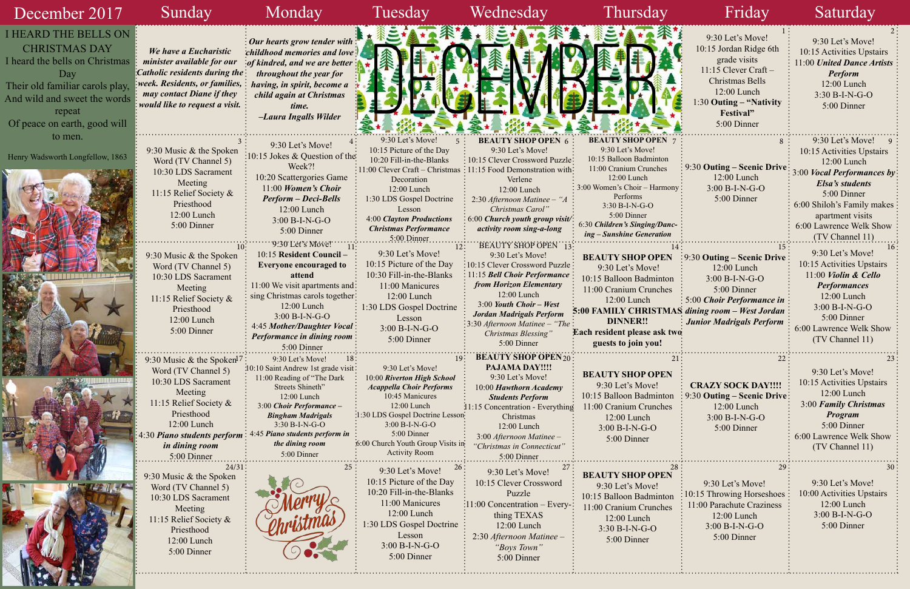| December 2017                                                                                                                                                                                             | Sunday                                                                                                                                                                                                                  | Monday                                                                                                                                                                                                                                                                              | Tuesday                                                                                                                                                                                                                                                                   | Wednesday                                                                                                                                                                                                                                                                                                                         | Thursday                                                                                                                                                                                                                                                     | Friday                                                                                                                                                                        | Saturday                                                                                                                                                                                                                       |
|-----------------------------------------------------------------------------------------------------------------------------------------------------------------------------------------------------------|-------------------------------------------------------------------------------------------------------------------------------------------------------------------------------------------------------------------------|-------------------------------------------------------------------------------------------------------------------------------------------------------------------------------------------------------------------------------------------------------------------------------------|---------------------------------------------------------------------------------------------------------------------------------------------------------------------------------------------------------------------------------------------------------------------------|-----------------------------------------------------------------------------------------------------------------------------------------------------------------------------------------------------------------------------------------------------------------------------------------------------------------------------------|--------------------------------------------------------------------------------------------------------------------------------------------------------------------------------------------------------------------------------------------------------------|-------------------------------------------------------------------------------------------------------------------------------------------------------------------------------|--------------------------------------------------------------------------------------------------------------------------------------------------------------------------------------------------------------------------------|
| <b>I HEARD THE BELLS ON</b><br><b>CHRISTMAS DAY</b><br>I heard the bells on Christmas<br>Day<br>Their old familiar carols play,<br>And wild and sweet the words<br>repeat<br>Of peace on earth, good will | We have a Eucharistic<br>minister available for our<br>Catholic residents during the:<br>: week. Residents, or families, $\vdots$<br>may contact Diane if they<br><i>would like to request a visit.</i>                 | $\frac{1}{2}$ Our hearts grow tender with $\frac{1}{2}$<br>childhood memories and love<br>$\cdot$ of kindred, and we are better<br>throughout the year for<br>having, in spirit, become a<br>child again at Christmas<br>time.<br>-Laura Ingalls Wilder                             |                                                                                                                                                                                                                                                                           |                                                                                                                                                                                                                                                                                                                                   |                                                                                                                                                                                                                                                              | 9:30 Let's Move!<br>10:15 Jordan Ridge 6th<br>grade visits<br>$11:15$ Clever Craft -<br>Christmas Bells<br>12:00 Lunch<br>1:30 Outing – "Nativity<br>Festival"<br>5:00 Dinner | 9:30 Let's Move!<br>10:15 Activities Upstairs<br>11:00 United Dance Artists<br>Perform<br>12:00 Lunch<br>3:30 B-I-N-G-O<br>5:00 Dinner                                                                                         |
| to men.<br>Henry Wadsworth Longfellow, 1863                                                                                                                                                               | 9:30 Music & the Spoken<br>Word (TV Channel 5)<br>10:30 LDS Sacrament<br>Meeting<br>11:15 Relief Society &<br>Priesthood<br>12:00 Lunch<br>5:00 Dinner                                                                  | 9:30 Let's Move!<br>10:15 Jokes & Question of the<br>Week?!<br>10:20 Scattergories Game<br>$11:00$ Women's Choir<br><b>Perform – Deci-Bells</b><br>12:00 Lunch<br>$3:00 B-I-N-G-O$<br>5:00 Dinner                                                                                   | 9:30 Let's Move!<br>10:15 Picture of the Day<br>10:20 Fill-in-the-Blanks<br>$\frac{1}{2}11:00$ Clever Craft - Christmas<br>Decoration<br>12:00 Lunch<br>1:30 LDS Gospel Doctrine<br>Lesson<br>4:00 Clayton Productions<br><b>Christmas Performance</b><br>$.5:00$ Dinner. | <b>BEAUTY SHOP OPEN 6</b><br>9:30 Let's Move!<br>: 10:15 Clever Crossword Puzzle:<br>: 11:15 Food Demonstration with:<br>Verlene<br>12:00 Lunch<br>2:30 Afternoon Matinee - "A<br>Christmas Carol"<br>6:00 Church youth group visit/:<br>activity room sing-a-long                                                                | <b>BEAUTY SHOP OPEN</b><br>9:30 Let's Move!<br>10:15 Balloon Badminton<br>11:00 Cranium Crunches<br>12:00 Lunch<br>3:00 Women's Choir - Harmony<br>Performs<br>$3:30 B-I-N-G-O$<br>5:00 Dinner<br>6:30 Children's Singing/Danc-<br>ing – Sunshine Generation | $\frac{1}{2}$ 9:30 Outing – Scenic Drive:<br>12:00 Lunch<br>$3:00 B-I-N-G-O$<br>5:00 Dinner                                                                                   | $9:30$ Let's Move!<br>10:15 Activities Upstairs<br>12:00 Lunch<br>3:00 Vocal Performances by<br>Elsa's students<br>5:00 Dinner<br>6:00 Shiloh's Family makes<br>apartment visits<br>6:00 Lawrence Welk Show<br>(TV Channel 11) |
|                                                                                                                                                                                                           | 9:30 Music & the Spoken<br>Word (TV Channel 5)<br>10:30 LDS Sacrament<br>Meeting<br>11:15 Relief Society &<br>Priesthood<br>12:00 Lunch<br>5:00 Dinner                                                                  | '9:30'Let's Move!<br>10:15 Resident Council-<br><b>Everyone encouraged to</b><br>attend<br>11:00 We visit apartments and:<br>sing Christmas carols together:<br>12:00 Lunch<br>$3:00 B-I-N-G-O$<br>4:45 Mother/Daughter Vocal:<br><b>Performance in dining room:</b><br>5:00 Dinner | 9:30 Let's Move!<br>10:15 Picture of the Day<br>10:30 Fill-in-the-Blanks<br>11:00 Manicures<br>12:00 Lunch<br>1:30 LDS Gospel Doctrine<br>Lesson<br>$3:00 B-I-N-G-O$<br>5:00 Dinner                                                                                       | BEAUTY SHOP OPEN 13:<br>9:30 Let's Move!<br>:10:15 Clever Crossword Puzzle:<br>11:15 Bell Choir Performance:<br>from Horizon Elementary<br>$12:00$ Lunch<br>$3:00$ Youth Choir - West<br>Jordan Madrigals Perform<br>$\frac{1}{2}\cdot\cdot\cdot\cdot\cdot$ 3:30 Afternoon Matinee – "The :<br>Christmas Blessing'<br>5:00 Dinner | <b>BEAUTY SHOP OPEN</b><br>9:30 Let's Move!<br>10:15 Balloon Badminton<br>11:00 Cranium Crunches<br>$12:00$ Lunch<br>5:00 FAMILY CHRISTMAS dining room - West Jordan :<br><b>DINNER!!</b><br>Each resident please ask two<br>guests to join you!             | $\frac{1}{2}$ 9:30 Outing – Scenic Drive<br>12:00 Lunch<br>$3:00 B-I-N-G-O$<br>5:00 Dinner<br>$\frac{1}{2}$ 5:00 Choir Performance in<br><b>Junior Madrigals Perform</b>      | 9:30 Let's Move!<br>10:15 Activities Upstairs<br>11:00 Violin & Cello<br><b>Performances</b><br>$12:00$ Lunch<br>$3:00 B-I-N-G-O$<br>5:00 Dinner<br>6:00 Lawrence Welk Show<br>(TV Channel 11)                                 |
|                                                                                                                                                                                                           | 9:30 Music & the Spoken <sup>17</sup> :<br>Word (TV Channel 5)<br>10:30 LDS Sacrament<br>Meeting<br>11:15 Relief Society &<br>Priesthood<br>12:00 Lunch<br>4:30 Piano students perform<br>in dining room<br>5:00 Dinner | 9:30 Let's Move!<br>18:<br>10:10 Saint Andrew 1st grade visit:<br>11:00 Reading of "The Dark<br>Streets Shineth"<br>12:00 Lunch<br>3:00 Choir Performance -<br><b>Bingham Madrigals</b><br>3:30 B-I-N-G-O<br>4:45 Piano students perform in<br>the dining room<br>5:00 Dinner       | 9:30 Let's Move!<br>10:00 Riverton High School<br><b>Acappella Choir Performs</b><br>10:45 Manicures<br>12:00 Lunch<br>:1:30 LDS Gospel Doctrine Lesson<br>3:00 B-I-N-G-O<br>5:00 Dinner<br>6:00 Church Youth Group Visits in<br><b>Activity Room</b>                     | <b>BEAUTY SHOP OPEN 20:</b><br><b>PAJAMA DAY!!!!</b><br>9:30 Let's Move!<br>10:00 Hawthorn Academy<br><b>Students Perform</b><br>11:15 Concentration - Everything<br>Christmas<br>12:00 Lunch<br>3:00 Afternoon Matinee -<br>'Christmas in Connecticut"<br>5:00 Dinner                                                            | <b>BEAUTY SHOP OPEN</b><br>9:30 Let's Move!<br>10:15 Balloon Badminton<br>11:00 Cranium Crunches<br>12:00 Lunch<br>3:00 B-I-N-G-O<br>5:00 Dinner                                                                                                             | <b>CRAZY SOCK DAY!!!!</b><br>9:30 Outing – Scenic Drive:<br>12:00 Lunch<br>3:00 B-I-N-G-O<br>5:00 Dinner                                                                      | 9:30 Let's Move!<br>10:15 Activities Upstairs<br>$12:00$ Lunch<br>3:00 Family Christmas<br>Program<br>5:00 Dinner<br>6:00 Lawrence Welk Show<br>(TV Channel 11)                                                                |
|                                                                                                                                                                                                           | $24/31$ :<br>9:30 Music & the Spoken<br>Word (TV Channel 5)<br>10:30 LDS Sacrament<br>Meeting<br>1:15 Relief Society &<br>Priesthood<br>12:00 Lunch<br>5:00 Dinner                                                      |                                                                                                                                                                                                                                                                                     | 9:30 Let's Move!<br>10:15 Picture of the Day<br>10:20 Fill-in-the-Blanks<br>11:00 Manicures<br>12:00 Lunch<br>1:30 LDS Gospel Doctrine<br>Lesson<br>$3:00 B-I-N-G-O$<br>5:00 Dinner                                                                                       | 9:30 Let's Move!<br>10:15 Clever Crossword<br>Puzzle<br>$\cdot$ 11:00 Concentration – Every- $\cdot$<br>thing TEXAS<br>12:00 Lunch<br>2:30 Afternoon Matinee -<br>"Boys Town"<br>5:00 Dinner                                                                                                                                      | <b>BEAUTY SHOP OPEN</b><br>9:30 Let's Move!<br>10:15 Balloon Badminton<br>11:00 Cranium Crunches<br>12:00 Lunch<br>3:30 B-I-N-G-O<br>5:00 Dinner                                                                                                             | 9:30 Let's Move!<br>:15 Throwing Horseshoes<br>11:00 Parachute Craziness<br>12:00 Lunch<br>$3:00 B-I-N-G-O$<br>5:00 Dinner                                                    | 9:30 Let's Move!<br>10:00 Activities Upstairs<br>12:00 Lunch<br>3:00 B-I-N-G-O<br>5:00 Dinner                                                                                                                                  |

| $9:30$ Let's Move!<br>10:15 Jordan Ridge 6th<br>grade visits<br>$11:15$ Clever Craft -<br>Christmas Bells<br>$12:00$ Lunch<br>1:30 Outing – "Nativity"<br>Festival"<br>5:00 Dinner |  |
|------------------------------------------------------------------------------------------------------------------------------------------------------------------------------------|--|
|                                                                                                                                                                                    |  |
|                                                                                                                                                                                    |  |
|                                                                                                                                                                                    |  |
|                                                                                                                                                                                    |  |
|                                                                                                                                                                                    |  |
|                                                                                                                                                                                    |  |
|                                                                                                                                                                                    |  |
|                                                                                                                                                                                    |  |
|                                                                                                                                                                                    |  |
|                                                                                                                                                                                    |  |